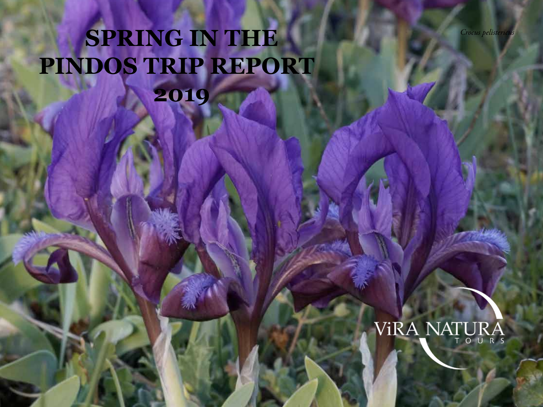*Crocus pelistericus*

## **SPRING IN THE PINDOS TRIP REPORT 2019**

# VIRA NATURA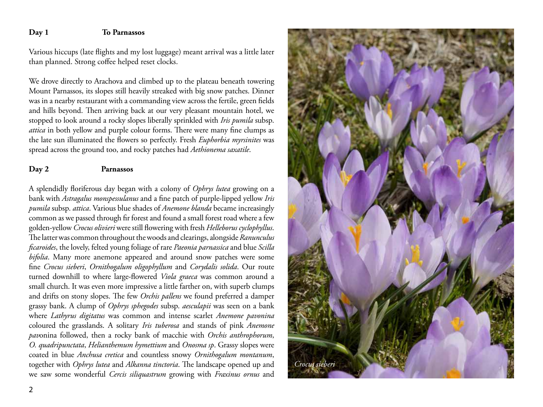#### **Day 1 To Parnassos**

Various hiccups (late flights and my lost luggage) meant arrival was a little later than planned. Strong coffee helped reset clocks.

We drove directly to Arachova and climbed up to the plateau beneath towering Mount Parnassos, its slopes still heavily streaked with big snow patches. Dinner was in a nearby restaurant with a commanding view across the fertile, green fields and hills beyond. Then arriving back at our very pleasant mountain hotel, we stopped to look around a rocky slopes liberally sprinkled with *Iris pumila* subsp. *attica* in both yellow and purple colour forms. There were many fine clumps as the late sun illuminated the flowers so perfectly. Fresh *Euphorbia myrsinites* was spread across the ground too, and rocky patches had *Aethionema saxatile*.

#### **Day 2 Parnassos**

A splendidly floriferous day began with a colony of *Ophrys lutea* growing on a bank with *Astragalus monspessulanus* and a fine patch of purple-lipped yellow *Iris pumila* subsp. *attica*. Various blue shades of *Anemone blanda* became increasingly common as we passed through fir forest and found a small forest road where a few golden-yellow *Crocus olivieri* were still flowering with fresh *Helleborus cyclophyllus*. The latter was common throughout the woods and clearings, alongside *Ranunculus ficaroides*, the lovely, felted young foliage of rare *Paeonia parnassica* and blue *Scilla bifolia*. Many more anemone appeared and around snow patches were some fine *Crocus sieberi*, *Ornithogalum oligophyllum* and *Corydalis solida*. Our route turned downhill to where large-flowered *Viola graeca* was common around a small church. It was even more impressive a little farther on, with superb clumps and drifts on stony slopes. The few *Orchis pallens* we found preferred a damper grassy bank. A clump of *Ophrys sphegodes* subsp. *aesculapii* was seen on a bank where *Lathyrus digitatus* was common and intense scarlet *Anemone pavonina* coloured the grasslands. A solitary *Iris tuberosa* and stands of pink *Anemone pav*onina followed, then a rocky bank of macchie with *Orchis anthrophorum*, *O. quadripunctata*, *Helianthemum hymettium* and *Onosma sp*. Grassy slopes were coated in blue *Anchusa cretica* and countless snowy *Ornithogalum montanum*, together with *Ophrys lutea* and *Alkanna tinctoria*. The landscape opened up and we saw some wonderful *Cercis siliquastrum* growing with *Fraxinus ornus* and

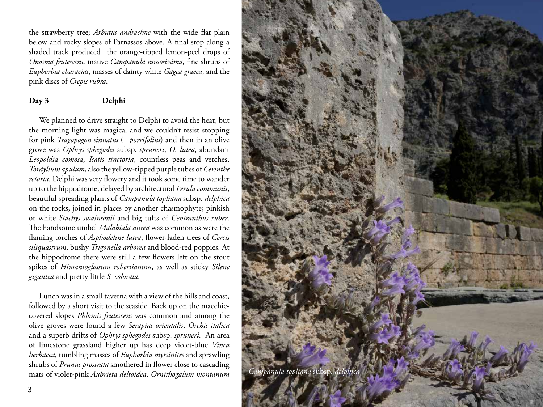the strawberry tree; *Arbutus andrachne* with the wide flat plain below and rocky slopes of Parnassos above. A final stop along a shaded track produced the orange-tipped lemon-peel drops of *Onosma frutescens*, mauve *Campanula ramosissima*, fine shrubs of *Euphorbia characias*, masses of dainty white *Gagea graeca*, and the pink discs of *Crepis rubra*.

#### **Day 3 Delphi**

We planned to drive straight to Delphi to avoid the heat, but the morning light was magical and we couldn't resist stopping for pink *Tragopogon sinuatus* (= *porrifolius*) and then in an olive grove was *Ophrys sphegodes* subsp. *spruneri*, *O. lutea*, abundant *Leopoldia comosa*, *Isatis tinctoria*, countless peas and vetches, *Tordylium apulum*, also the yellow-tipped purple tubes of *Cerinthe retorta*. Delphi was very flowery and it took some time to wander up to the hippodrome, delayed by architectural *Ferula communis*, beautiful spreading plants of *Campanula topliana* subsp*. delphica*  on the rocks, joined in places by another chasmophyte; pinkish or white *Stachys swainsonii* and big tufts of *Centranthus ruber*. The handsome umbel *Malabiala aurea* was common as were the flaming torches of *Asphodeline lutea*, flower-laden trees of *Cercis siliquastrum*, bushy *Trigonella arborea* and blood-red poppies. At the hippodrome there were still a few flowers left on the stout spikes of *Himantoglossum robertianum*, as well as sticky *Silene gigantea* and pretty little *S. colorata*.

Lunch was in a small taverna with a view of the hills and coast, followed by a short visit to the seaside. Back up on the macchiecovered slopes *Phlomis frutescens* was common and among the olive groves were found a few *Serapias orientalis*, *Orchis italica* and a superb drifts of *Ophrys sphegodes* subsp. *spruneri*. An area of limestone grassland higher up has deep violet-blue *Vinca herbacea*, tumbling masses of *Euphorbia myrsinites* and sprawling shrubs of *Prunus prostrata* smothered in flower close to cascading mats of violet-pink *Aubrieta deltoidea*. *Ornithogalum montanum Campanula topliana* subsp. *delphica*

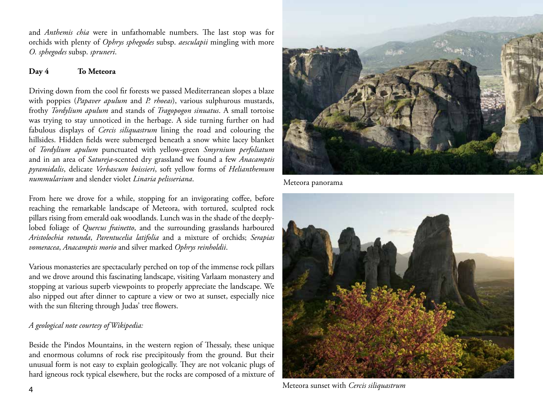and *Anthemis chia* were in unfathomable numbers. The last stop was for orchids with plenty of *Ophrys sphegodes* subsp. *aesculapii* mingling with more *O. sphegodes* subsp. *spruneri*.

#### **Day 4 To Meteora**

Driving down from the cool fir forests we passed Mediterranean slopes a blaze with poppies (*Papaver apulum* and *P. rhoeas*), various sulphurous mustards, frothy *Tordylium apulum* and stands of *Tragopogon sinuatus*. A small tortoise was trying to stay unnoticed in the herbage. A side turning further on had fabulous displays of *Cercis siliquastrum* lining the road and colouring the hillsides. Hidden fields were submerged beneath a snow white lacey blanket of *Tordylium apulum* punctuated with yellow-green *Smyrnium perfoliatum* and in an area of *Satureja*-scented dry grassland we found a few *Anacamptis pyramidalis*, delicate *Verbascum boissieri*, soft yellow forms of *Helianthemum nummularium* and slender violet *Linaria pelisseriana*.

From here we drove for a while, stopping for an invigorating coffee, before reaching the remarkable landscape of Meteora, with tortured, sculpted rock pillars rising from emerald oak woodlands. Lunch was in the shade of the deeplylobed foliage of *Quercus frainetto*, and the surrounding grasslands harboured *Aristolochia rotunda*, *Parentucelia latifolia* and a mixture of orchids; *Serapias vomeracea*, *Anacamptis morio* and silver marked *Ophrys reinholdii*.

Various monasteries are spectacularly perched on top of the immense rock pillars and we drove around this fascinating landscape, visiting Varlaam monastery and stopping at various superb viewpoints to properly appreciate the landscape. We also nipped out after dinner to capture a view or two at sunset, especially nice with the sun filtering through Judas' tree flowers.

### *A geological note courtesy of Wikipedia:*

Beside the Pindos Mountains, in the western region of Thessaly, these unique and enormous columns of rock rise precipitously from the ground. But their unusual form is not easy to explain geologically. They are not volcanic plugs of hard igneous rock typical elsewhere, but the rocks are composed of a mixture of



Meteora panorama



Meteora sunset with *Cercis siliquastrum*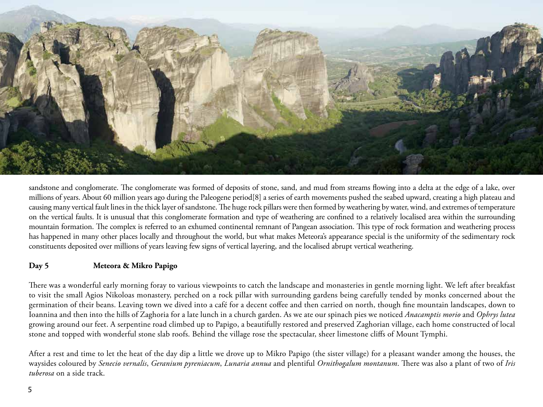

sandstone and conglomerate. The conglomerate was formed of deposits of stone, sand, and mud from streams flowing into a delta at the edge of a lake, over millions of years. About 60 million years ago during the Paleogene period[8] a series of earth movements pushed the seabed upward, creating a high plateau and causing many vertical fault lines in the thick layer of sandstone. The huge rock pillars were then formed by weathering by water, wind, and extremes of temperature on the vertical faults. It is unusual that this conglomerate formation and type of weathering are confined to a relatively localised area within the surrounding mountain formation. The complex is referred to an exhumed continental remnant of Pangean association. This type of rock formation and weathering process has happened in many other places locally and throughout the world, but what makes Meteora's appearance special is the uniformity of the sedimentary rock constituents deposited over millions of years leaving few signs of vertical layering, and the localised abrupt vertical weathering.

#### **Day 5 Meteora & Mikro Papigo**

There was a wonderful early morning foray to various viewpoints to catch the landscape and monasteries in gentle morning light. We left after breakfast to visit the small Agios Nikoloas monastery, perched on a rock pillar with surrounding gardens being carefully tended by monks concerned about the germination of their beans. Leaving town we dived into a café for a decent coffee and then carried on north, though fine mountain landscapes, down to Ioannina and then into the hills of Zaghoria for a late lunch in a church garden. As we ate our spinach pies we noticed *Anacamptis morio* and *Ophrys lutea* growing around our feet. A serpentine road climbed up to Papigo, a beautifully restored and preserved Zaghorian village, each home constructed of local stone and topped with wonderful stone slab roofs. Behind the village rose the spectacular, sheer limestone cliffs of Mount Tymphi.

After a rest and time to let the heat of the day dip a little we drove up to Mikro Papigo (the sister village) for a pleasant wander among the houses, the waysides coloured by *Senecio vernalis*, *Geranium pyreniacum*, *Lunaria annua* and plentiful *Ornithogalum montanum*. There was also a plant of two of *Iris tuberosa* on a side track.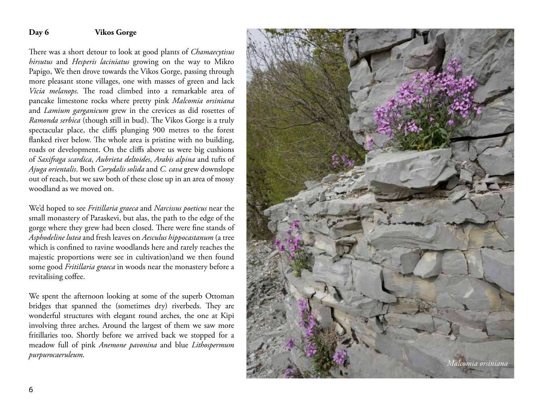#### **Day 6 Vikos Gorge**

There was a short detour to look at good plants of *Chamaecytisus hirsutus* and *Hesperis laciniatus* growing on the way to Mikro Papigo, We then drove towards the Vikos Gorge, passing through more pleasant stone villages, one with masses of green and lack *Vicia melanops*. The road climbed into a remarkable area of pancake limestone rocks where pretty pink *Malcomia orsiniana* and *Lamium garganicum* grew in the crevices as did rosettes of *Ramonda serbica* (though still in bud). The Vikos Gorge is a truly spectacular place, the cliffs plunging 900 metres to the forest flanked river below. The whole area is pristine with no building, roads or development. On the cliffs above us were big cushions of *Saxifraga scardica*, *Aubrieta deltoides*, *Arabis alpina* and tufts of *Ajuga orientalis*. Both *Corydalis solida* and *C. cava* grew downslope out of reach, but we saw both of these close up in an area of mossy woodland as we moved on.

We'd hoped to see *Fritillaria graeca* and *Narcissus poeticus* near the small monastery of Paraskevi, but alas, the path to the edge of the gorge where they grew had been closed. There were fine stands of *Asphodeline lutea* and fresh leaves on *Aesculus hippocastanum* (a tree which is confined to ravine woodlands here and rarely reaches the majestic proportions were see in cultivation)and we then found some good *Fritillaria graeca* in woods near the monastery before a revitalising coffee.

We spent the afternoon looking at some of the superb Ottoman bridges that spanned the (sometimes dry) riverbeds. They are wonderful structures with elegant round arches, the one at Kipi involving three arches. Around the largest of them we saw more fritillaries too. Shortly before we arrived back we stopped for a meadow full of pink *Anemone pavonina* and blue *Lithospermum purpurocaeruleum* .

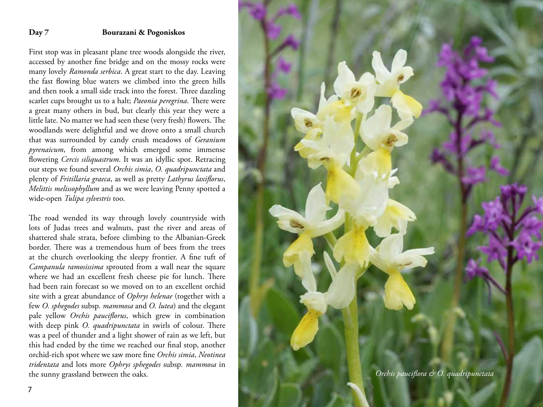#### **Day 7 Bourazani & Pogoniskos**

First stop was in pleasant plane tree woods alongside the river, accessed by another fine bridge and on the mossy rocks were many lovely *Ramonda serbica*. A great start to the day. Leaving the fast flowing blue waters we climbed into the green hills and then took a small side track into the forest. Three dazzling scarlet cups brought us to a halt; *Paeonia peregrina*. There were a great many others in bud, but clearly this year they were a little late. No matter we had seen these (very fresh) flowers. The woodlands were delightful and we drove onto a small church that was surrounded by candy crush meadows of *Geranium pyrenaicum*, from among which emerged some immense flowering *Cercis siliquastrum*. It was an idyllic spot. Retracing our steps we found several *Orchis simia* , *O. quadripunctata* and plenty of *Fritillaria graeca*, as well as pretty *Lathyrus laxiflorus*, *Melittis melissophyllum* and as we were leaving Penny spotted a wide-open *Tulipa sylvestris* too.

The road wended its way through lovely countryside with lots of Judas trees and walnuts, past the river and areas of shattered shale strata, before climbing to the Albanian-Greek border. There was a tremendous hum of bees from the trees at the church overlooking the sleepy frontier. A fine tuft of *Campanula ramosissima* sprouted from a wall near the square where we had an excellent fresh cheese pie for lunch. There had been rain forecast so we moved on to an excellent orchid site with a great abundance of *Ophrys helenae* (together with a few *O. sphegodes* subsp*. mammosa* and *O. lutea*) and the elegant pale yellow *Orchis pauciflorus*, which grew in combination with deep pink *O. quadripunctata* in swirls of colour. There was a peel of thunder and a light shower of rain as we left, but this had ended by the time we reached our final stop, another orchid-rich spot where we saw more fine *Orchis simia*, *Neotinea tridentata* and lots more *Ophrys sphegodes* subsp*. mammosa* in

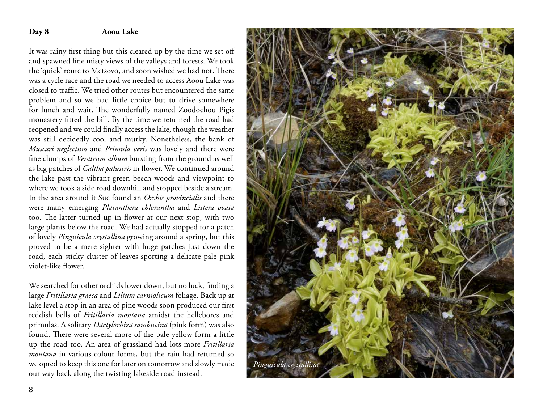#### **Day 8 Aoou Lake**

It was rainy first thing but this cleared up by the time we set off and spawned fine misty views of the valleys and forests. We took the 'quick' route to Metsovo, and soon wished we had not. There was a cycle race and the road we needed to access Aoou Lake was closed to traffic. We tried other routes but encountered the same problem and so we had little choice but to drive somewhere for lunch and wait. The wonderfully named Zoodochou Pigis monastery fitted the bill. By the time we returned the road had reopened and we could finally access the lake, though the weather was still decidedly cool and murky. Nonetheless, the bank of *Muscari neglectum* and *Primula veris* was lovely and there were fine clumps of *Veratrum album* bursting from the ground as well as big patches of *Caltha palustris* in flower. We continued around the lake past the vibrant green beech woods and viewpoint to where we took a side road downhill and stopped beside a stream. In the area around it Sue found an *Orchis provincialis* and there were many emerging *Platanthera chlorantha* and *Listera ovata* too. The latter turned up in flower at our next stop, with two large plants below the road. We had actually stopped for a patch of lovely *Pinguicula crystallina* growing around a spring, but this proved to be a mere sighter with huge patches just down the road, each sticky cluster of leaves sporting a delicate pale pink violet-like flower.

We searched for other orchids lower down, but no luck, finding a large *Fritillaria graeca* and *Lilium carniolicum* foliage. Back up at lake level a stop in an area of pine woods soon produced our first reddish bells of *Fritillaria montana* amidst the hellebores and primulas. A solitary *Dactylorhiza sambucina* (pink form) was also found. There were several more of the pale yellow form a little up the road too. An area of grassland had lots more *Fritillaria montana* in various colour forms, but the rain had returned so we opted to keep this one for later on tomorrow and slowly made our way back along the twisting lakeside road instead.



8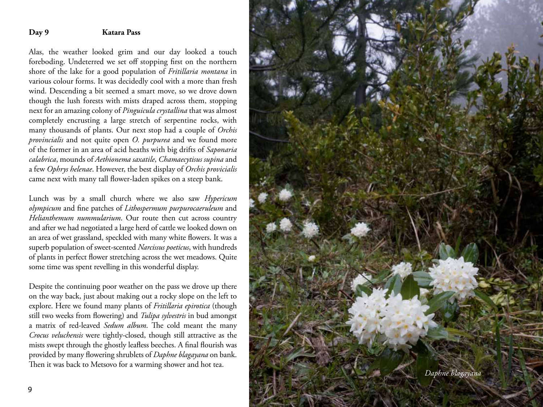#### **Day 9 Katara Pass**

Alas, the weather looked grim and our day looked a touch foreboding. Undeterred we set off stopping first on the northern shore of the lake for a good population of *Fritillaria montana* in various colour forms. It was decidedly cool with a more than fresh wind. Descending a bit seemed a smart move, so we drove down though the lush forests with mists draped across them, stopping next for an amazing colony of *Pinguicula crystallina* that was almost completely encrusting a large stretch of serpentine rocks, with many thousands of plants. Our next stop had a couple of *Orchis provincialis* and not quite open *O. purpurea* and we found more of the former in an area of acid heaths with big drifts of *Saponaria calabrica*, mounds of *Aethionema saxatile*, *Chamaecytisus supina* and a few *Ophrys helenae*. However, the best display of *Orchis provicialis* came next with many tall flower-laden spikes on a steep bank.

Lunch was by a small church where we also saw *Hypericum olympicum* and fine patches of *Lithospermum purpurocaeruleum* and *Helianthemum nummularium*. Our route then cut across country and after we had negotiated a large herd of cattle we looked down on an area of wet grassland, speckled with many white flowers. It was a superb population of sweet-scented *Narcissus poeticus*, with hundreds of plants in perfect flower stretching across the wet meadows. Quite some time was spent revelling in this wonderful display.

Despite the continuing poor weather on the pass we drove up there on the way back, just about making out a rocky slope on the left to explore. Here we found many plants of *Fritillaria epirotica* (though still two weeks from flowering) and *Tulipa sylvestris* in bud amongst a matrix of red-leaved *Sedum album*. The cold meant the many *Crocus veluchensis* were tightly-closed, though still attractive as the mists swept through the ghostly leafless beeches. A final flourish was provided by many flowering shrublets of *Daphne blagayana* on bank. Then it was back to Metsovo for a warming shower and hot tea.

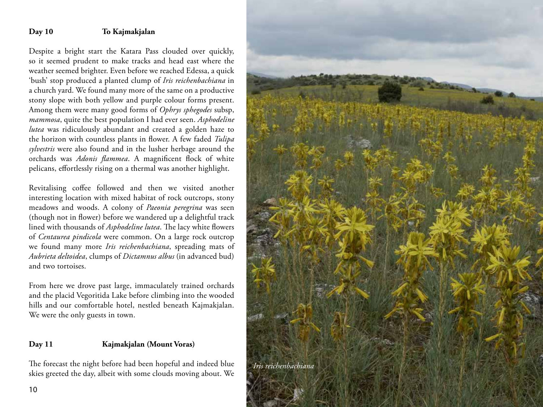#### **Day 10 To Kajmakjalan**

Despite a bright start the Katara Pass clouded over quickly, so it seemed prudent to make tracks and head east where the weather seemed brighter. Even before we reached Edessa, a quick 'bush' stop produced a planted clump of *Iris reichenbachiana* in a church yard. We found many more of the same on a productive stony slope with both yellow and purple colour forms present. Among them were many good forms of *Ophrys sphegodes* subsp, *mammosa*, quite the best population I had ever seen. *Asphodeline lutea* was ridiculously abundant and created a golden haze to the horizon with countless plants in flower. A few faded *Tulipa sylvestris* were also found and in the lusher herbage around the orchards was *Adonis flammea*. A magnificent flock of white pelicans, effortlessly rising on a thermal was another highlight.

Revitalising coffee followed and then we visited another interesting location with mixed habitat of rock outcrops, stony meadows and woods. A colony of *Paeonia peregrina* was seen (though not in flower) before we wandered up a delightful track lined with thousands of *Asphodeline lutea*. The lacy white flowers of *Centaurea pindicola* were common. On a large rock outcrop we found many more *Iris reichenbachiana*, spreading mats of *Aubrieta deltoidea*, clumps of *Dictamnus albus* (in advanced bud) and two tortoises.

From here we drove past large, immaculately trained orchards and the placid Vegoritida Lake before climbing into the wooded hills and our comfortable hotel, nestled beneath Kajmakjalan. We were the only guests in town.

#### **Day 11 Kajmakjalan (Mount Voras)**

The forecast the night before had been hopeful and indeed blue skies greeted the day, albeit with some clouds moving about. We

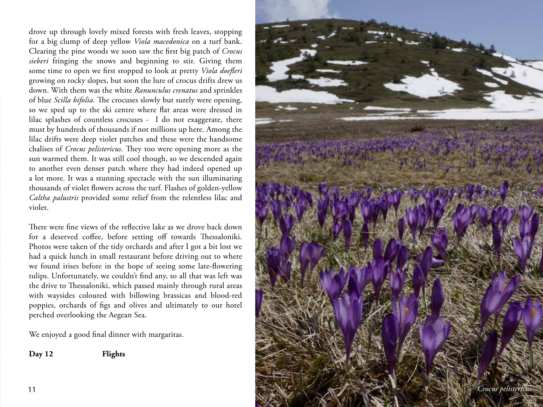drove up through lovely mixed forests with fresh leaves, stopping for a big clump of deep yellow *Viola macedonica* on a turf bank. Clearing the pine woods we soon saw the first big patch of *Crocus sieberi* fringing the snows and beginning to stir. Giving them some time to open we first stopped to look at pretty *Viola doefleri* growing on rocky slopes, but soon the lure of crocus drifts drew us down. With them was the white *Ranunculus crenatus* and sprinkles of blue *Scilla bifolia*. The crocuses slowly but surely were opening, so we sped up to the ski centre where flat areas were dressed in lilac splashes of countless crocuses - I do not exaggerate, there must by hundreds of thousands if not millions up here. Among the lilac drifts were deep violet patches and these were the handsome chalises of *Crocus pelistericus*. They too were opening more as the sun warmed them. It was still cool though, so we descended again to another even denser patch where they had indeed opened up a lot more. It was a stunning spectacle with the sun illuminating thousands of violet flowers across the turf. Flashes of golden-yellow *Caltha palustris* provided some relief from the relentless lilac and violet.

There were fine views of the reflective lake as we drove back down for a deserved coffee, before setting off towards Thessaloniki. Photos were taken of the tidy orchards and after I got a bit lost we had a quick lunch in small restaurant before driving out to where we found irises before in the hope of seeing some late-flowering tulips. Unfortunately, we couldn't find any, so all that was left was the drive to Thessaloniki, which passed mainly through rural areas with waysides coloured with billowing brassicas and blood-red poppies, orchards of figs and olives and ultimately to our hotel perched overlooking the Aegean Sea.

We enjoyed a good final dinner with margaritas.

**Day 12 Flights**